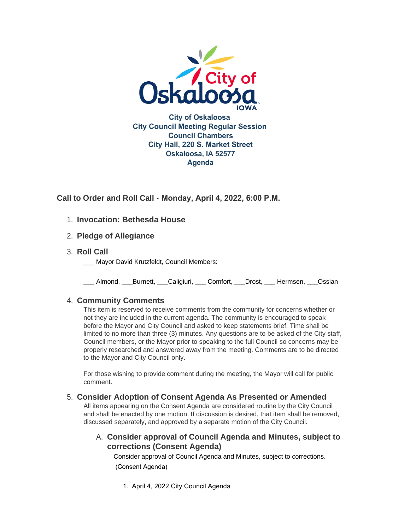

**Call to Order and Roll Call - Monday, April 4, 2022, 6:00 P.M.** 

# **Invocation: Bethesda House** 1.

- **Pledge of Allegiance** 2.
- **Roll Call** 3.
	- Mayor David Krutzfeldt, Council Members:

\_\_\_ Almond, \_\_\_Burnett, \_\_\_Caligiuri, \_\_\_ Comfort, \_\_\_Drost, \_\_\_ Hermsen, \_\_\_Ossian

## **Community Comments** 4.

This item is reserved to receive comments from the community for concerns whether or not they are included in the current agenda. The community is encouraged to speak before the Mayor and City Council and asked to keep statements brief. Time shall be limited to no more than three (3) minutes. Any questions are to be asked of the City staff, Council members, or the Mayor prior to speaking to the full Council so concerns may be properly researched and answered away from the meeting. Comments are to be directed to the Mayor and City Council only.

For those wishing to provide comment during the meeting, the Mayor will call for public comment.

## **Consider Adoption of Consent Agenda As Presented or Amended** 5.

All items appearing on the Consent Agenda are considered routine by the City Council and shall be enacted by one motion. If discussion is desired, that item shall be removed, discussed separately, and approved by a separate motion of the City Council.

# **Consider approval of Council Agenda and Minutes, subject to**  A. **corrections (Consent Agenda)**

Consider approval of Council Agenda and Minutes, subject to corrections. (Consent Agenda)

1. April 4, 2022 City Council Agenda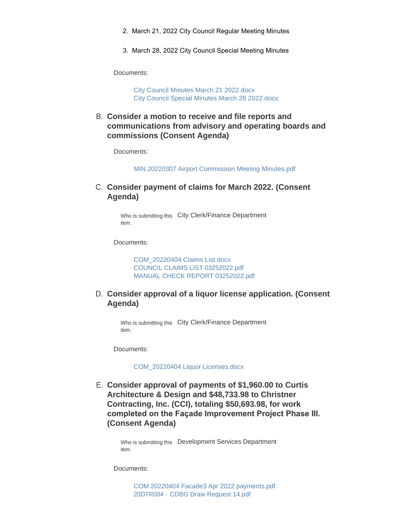- 2. March 21, 2022 City Council Regular Meeting Minutes
- 3. March 28, 2022 City Council Special Meeting Minutes

Documents:

[City Council Minutes March 21 2022.docx](https://www.oskaloosaiowa.org/AgendaCenter/ViewFile/Item/10025?fileID=26387) [City Council Special Minutes March 28 2022.docx](https://www.oskaloosaiowa.org/AgendaCenter/ViewFile/Item/10025?fileID=26388)

**Consider a motion to receive and file reports and**  B. **communications from advisory and operating boards and commissions (Consent Agenda)**

Documents:

[MIN 20220307 Airport Commission Meeting Minutes.pdf](https://www.oskaloosaiowa.org/AgendaCenter/ViewFile/Item/10026?fileID=26389)

C. Consider payment of claims for March 2022. (Consent **Agenda)**

> Who is submitting this City Clerk/Finance Department item.

Documents:

[COM\\_20220404 Claims List.docx](https://www.oskaloosaiowa.org/AgendaCenter/ViewFile/Item/9968?fileID=26340) [COUNCIL CLAIMS LIST 03252022.pdf](https://www.oskaloosaiowa.org/AgendaCenter/ViewFile/Item/9968?fileID=26341) [MANUAL CHECK REPORT 03252022.pdf](https://www.oskaloosaiowa.org/AgendaCenter/ViewFile/Item/9968?fileID=26342)

### **Consider approval of a liquor license application. (Consent**  D. **Agenda)**

Who is submitting this City Clerk/Finance Department item.

Documents:

[COM\\_20220404 Liquor Licenses.docx](https://www.oskaloosaiowa.org/AgendaCenter/ViewFile/Item/9969?fileID=26339)

**Consider approval of payments of \$1,960.00 to Curtis**  E. **Architecture & Design and \$48,733.98 to Christner Contracting, Inc. (CCI), totaling \$50,693.98, for work completed on the Façade Improvement Project Phase III. (Consent Agenda)**

> Who is submitting this Development Services Department item.

Documents:

[COM 20220404 Facade3 Apr 2022 payments.pdf](https://www.oskaloosaiowa.org/AgendaCenter/ViewFile/Item/9993?fileID=26333) 20DTR004 - [CDBG Draw Request 14.pdf](https://www.oskaloosaiowa.org/AgendaCenter/ViewFile/Item/9993?fileID=26332)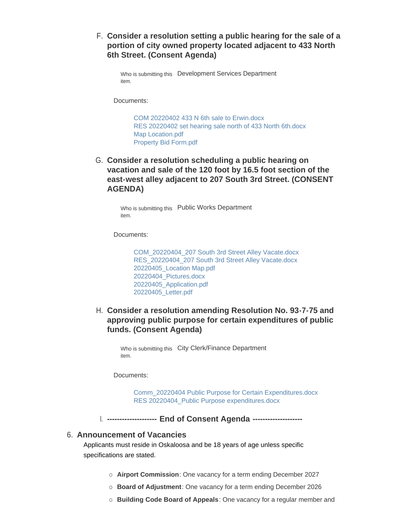**Consider a resolution setting a public hearing for the sale of a**  F. **portion of city owned property located adjacent to 433 North 6th Street. (Consent Agenda)**

```
Who is submitting this  Development Services Department
item.
```
Documents:

[COM 20220402 433 N 6th sale to Erwin.docx](https://www.oskaloosaiowa.org/AgendaCenter/ViewFile/Item/9964?fileID=26335) [RES 20220402 set hearing sale north of 433 North 6th.docx](https://www.oskaloosaiowa.org/AgendaCenter/ViewFile/Item/9964?fileID=26338) [Map Location.pdf](https://www.oskaloosaiowa.org/AgendaCenter/ViewFile/Item/9964?fileID=26336) [Property Bid Form.pdf](https://www.oskaloosaiowa.org/AgendaCenter/ViewFile/Item/9964?fileID=26337)

G. Consider a resolution scheduling a public hearing on **vacation and sale of the 120 foot by 16.5 foot section of the east-west alley adjacent to 207 South 3rd Street. (CONSENT AGENDA)**

> Who is submitting this Public Works Department item.

Documents:

[COM\\_20220404\\_207 South 3rd Street Alley Vacate.docx](https://www.oskaloosaiowa.org/AgendaCenter/ViewFile/Item/10005?fileID=26343) [RES\\_20220404\\_207 South 3rd Street Alley Vacate.docx](https://www.oskaloosaiowa.org/AgendaCenter/ViewFile/Item/10005?fileID=26344) [20220405\\_Location Map.pdf](https://www.oskaloosaiowa.org/AgendaCenter/ViewFile/Item/10005?fileID=26346) [20220404\\_Pictures.docx](https://www.oskaloosaiowa.org/AgendaCenter/ViewFile/Item/10005?fileID=26347) [20220405\\_Application.pdf](https://www.oskaloosaiowa.org/AgendaCenter/ViewFile/Item/10005?fileID=26348) [20220405\\_Letter.pdf](https://www.oskaloosaiowa.org/AgendaCenter/ViewFile/Item/10005?fileID=26345)

**Consider a resolution amending Resolution No. 93-7-75 and**  H. **approving public purpose for certain expenditures of public funds. (Consent Agenda)**

Who is submitting this City Clerk/Finance Department item.

Documents:

[Comm\\_20220404 Public Purpose for Certain Expenditures.docx](https://www.oskaloosaiowa.org/AgendaCenter/ViewFile/Item/10019?fileID=26379) RES 20220404 Public Purpose expenditures.docx

**-------------------- End of Consent Agenda --------------------** I.

#### **Announcement of Vacancies** 6.

Applicants must reside in Oskaloosa and be 18 years of age unless specific specifications are stated.

- ¡ **Airport Commission**: One vacancy for a term ending December 2027
- ¡ **Board of Adjustment**: One vacancy for a term ending December 2026
- ¡ **Building Code Board of Appeals**: One vacancy for a regular member and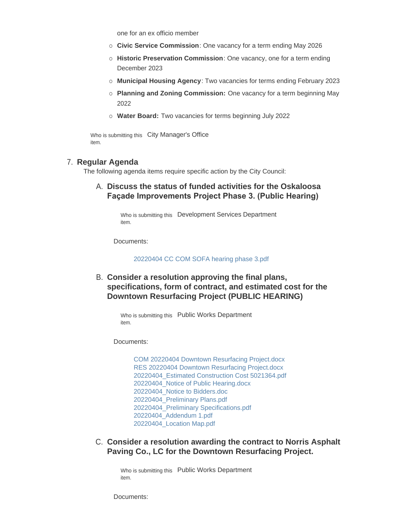one for an ex officio member

- ¡ **Civic Service Commission**: One vacancy for a term ending May 2026
- ¡ **Historic Preservation Commission**: One vacancy, one for a term ending December 2023

¡ **Building Code Board of Appeals**: One vacancy for a regular member and

- ¡ **Municipal Housing Agency**: Two vacancies for terms ending February 2023
- ¡ **Planning and Zoning Commission:** One vacancy for a term beginning May 2022
- ¡ **Water Board:** Two vacancies for terms beginning July 2022

Who is submitting this City Manager's Office item.

#### **Regular Agenda** 7.

The following agenda items require specific action by the City Council:

### **Discuss the status of funded activities for the Oskaloosa**  A. **Façade Improvements Project Phase 3. (Public Hearing)**

Who is submitting this Development Services Department item.

Documents:

[20220404 CC COM SOFA hearing phase 3.pdf](https://www.oskaloosaiowa.org/AgendaCenter/ViewFile/Item/9963?fileID=26334)

**Consider a resolution approving the final plans,**  B. **specifications, form of contract, and estimated cost for the Downtown Resurfacing Project (PUBLIC HEARING)**

Who is submitting this Public Works Department item.

Documents:

[COM 20220404 Downtown Resurfacing Project.docx](https://www.oskaloosaiowa.org/AgendaCenter/ViewFile/Item/10008?fileID=26365) [RES 20220404 Downtown Resurfacing Project.docx](https://www.oskaloosaiowa.org/AgendaCenter/ViewFile/Item/10008?fileID=26366) [20220404\\_Estimated Construction Cost 5021364.pdf](https://www.oskaloosaiowa.org/AgendaCenter/ViewFile/Item/10008?fileID=26368) [20220404\\_Notice of Public Hearing.docx](https://www.oskaloosaiowa.org/AgendaCenter/ViewFile/Item/10008?fileID=26363) [20220404\\_Notice to Bidders.doc](https://www.oskaloosaiowa.org/AgendaCenter/ViewFile/Item/10008?fileID=26364) [20220404\\_Preliminary Plans.pdf](https://www.oskaloosaiowa.org/AgendaCenter/ViewFile/Item/10008?fileID=26369) [20220404\\_Preliminary Specifications.pdf](https://www.oskaloosaiowa.org/AgendaCenter/ViewFile/Item/10008?fileID=26370) [20220404\\_Addendum 1.pdf](https://www.oskaloosaiowa.org/AgendaCenter/ViewFile/Item/10008?fileID=26367) [20220404\\_Location Map.pdf](https://www.oskaloosaiowa.org/AgendaCenter/ViewFile/Item/10008?fileID=26362)

**C. Consider a resolution awarding the contract to Norris Asphalt Paving Co., LC for the Downtown Resurfacing Project.**

Who is submitting this Public Works Department item.

Documents: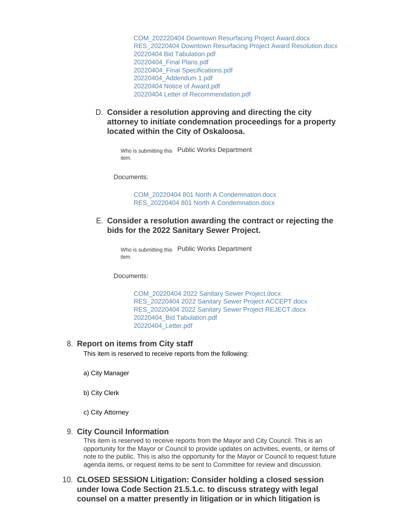[COM\\_202220404 Downtown Resurfacing Project Award.docx](https://www.oskaloosaiowa.org/AgendaCenter/ViewFile/Item/10007?fileID=26356) [RES\\_20220404 Downtown Resurfacing Project Award Resolution.docx](https://www.oskaloosaiowa.org/AgendaCenter/ViewFile/Item/10007?fileID=26357) [20220404 Bid Tabulation.pdf](https://www.oskaloosaiowa.org/AgendaCenter/ViewFile/Item/10007?fileID=26358) [20220404\\_Final Plans.pdf](https://www.oskaloosaiowa.org/AgendaCenter/ViewFile/Item/10007?fileID=26354) [20220404\\_Final Specifications.pdf](https://www.oskaloosaiowa.org/AgendaCenter/ViewFile/Item/10007?fileID=26355) [20220404\\_Addendum 1.pdf](https://www.oskaloosaiowa.org/AgendaCenter/ViewFile/Item/10007?fileID=26361) [20220404 Notice of Award.pdf](https://www.oskaloosaiowa.org/AgendaCenter/ViewFile/Item/10007?fileID=26360) [20220404 Letter of Recommendation.pdf](https://www.oskaloosaiowa.org/AgendaCenter/ViewFile/Item/10007?fileID=26359)

**Consider a resolution approving and directing the city**  D. **attorney to initiate condemnation proceedings for a property located within the City of Oskaloosa.** 

Who is submitting this Public Works Department item.

Documents:

[COM\\_20220404 801 North A Condemnation.docx](https://www.oskaloosaiowa.org/AgendaCenter/ViewFile/Item/10009?fileID=26375) [RES\\_20220404 801 North A Condemnation.docx](https://www.oskaloosaiowa.org/AgendaCenter/ViewFile/Item/10009?fileID=26372)

### **Consider a resolution awarding the contract or rejecting the**  E. **bids for the 2022 Sanitary Sewer Project.**

Who is submitting this Public Works Department item.

Documents:

[COM\\_20220404 2022 Sanitary Sewer Project.docx](https://www.oskaloosaiowa.org/AgendaCenter/ViewFile/Item/10006?fileID=26349) [RES\\_20220404 2022 Sanitary Sewer Project ACCEPT.docx](https://www.oskaloosaiowa.org/AgendaCenter/ViewFile/Item/10006?fileID=26350) [RES\\_20220404 2022 Sanitary Sewer Project REJECT.docx](https://www.oskaloosaiowa.org/AgendaCenter/ViewFile/Item/10006?fileID=26351) [20220404\\_Bid Tabulation.pdf](https://www.oskaloosaiowa.org/AgendaCenter/ViewFile/Item/10006?fileID=26352) [20220404\\_Letter.pdf](https://www.oskaloosaiowa.org/AgendaCenter/ViewFile/Item/10006?fileID=26353)

#### **Report on items from City staff** 8.

This item is reserved to receive reports from the following:

- a) City Manager
- b) City Clerk
- c) City Attorney

#### **City Council Information** 9.

This item is reserved to receive reports from the Mayor and City Council. This is an opportunity for the Mayor or Council to provide updates on activities, events, or items of note to the public. This is also the opportunity for the Mayor or Council to request future agenda items, or request items to be sent to Committee for review and discussion.

**CLOSED SESSION Litigation: Consider holding a closed session**  10. **under Iowa Code Section 21.5.1.c. to discuss strategy with legal counsel on a matter presently in litigation or in which litigation is**